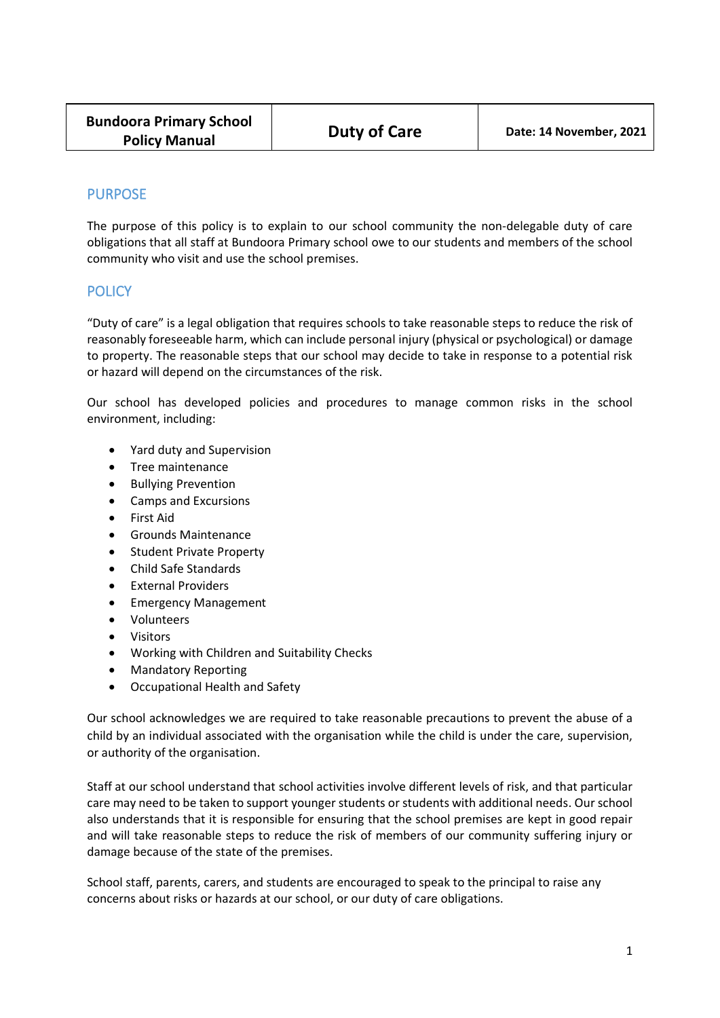# PURPOSE

The purpose of this policy is to explain to our school community the non-delegable duty of care obligations that all staff at Bundoora Primary school owe to our students and members of the school community who visit and use the school premises.

## **POLICY**

"Duty of care" is a legal obligation that requires schools to take reasonable steps to reduce the risk of reasonably foreseeable harm, which can include personal injury (physical or psychological) or damage to property. The reasonable steps that our school may decide to take in response to a potential risk or hazard will depend on the circumstances of the risk.

Our school has developed policies and procedures to manage common risks in the school environment, including:

- Yard duty and Supervision
- Tree maintenance
- Bullying Prevention
- Camps and Excursions
- First Aid
- Grounds Maintenance
- Student Private Property
- Child Safe Standards
- External Providers
- Emergency Management
- Volunteers
- Visitors
- Working with Children and Suitability Checks
- Mandatory Reporting
- Occupational Health and Safety

Our school acknowledges we are required to take reasonable precautions to prevent the abuse of a child by an individual associated with the organisation while the child is under the care, supervision, or authority of the organisation.

Staff at our school understand that school activities involve different levels of risk, and that particular care may need to be taken to support younger students or students with additional needs. Our school also understands that it is responsible for ensuring that the school premises are kept in good repair and will take reasonable steps to reduce the risk of members of our community suffering injury or damage because of the state of the premises.

School staff, parents, carers, and students are encouraged to speak to the principal to raise any concerns about risks or hazards at our school, or our duty of care obligations.